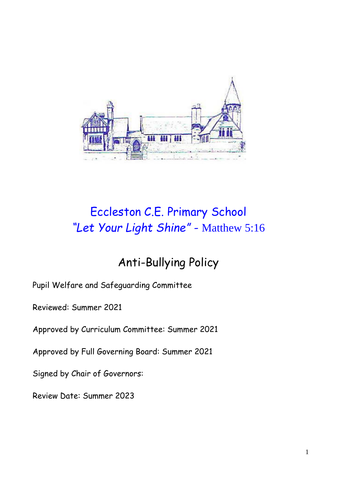

# Eccleston C.E. Primary School *"Let Your Light Shine" -* Matthew 5:16

## Anti-Bullying Policy

Pupil Welfare and Safeguarding Committee

Reviewed: Summer 2021

Approved by Curriculum Committee: Summer 2021

Approved by Full Governing Board: Summer 2021

Signed by Chair of Governors:

Review Date: Summer 2023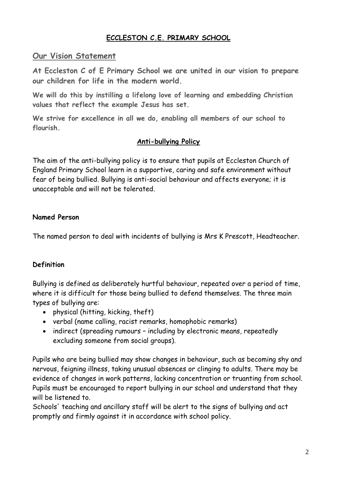## **ECCLESTON C.E. PRIMARY SCHOOL**

## **Our Vision Statement**

**At Eccleston C of E Primary School we are united in our vision to prepare our children for life in the modern world.**

**We will do this by instilling a lifelong love of learning and embedding Christian values that reflect the example Jesus has set.**

**We strive for excellence in all we do, enabling all members of our school to flourish.**

#### **Anti-bullying Policy**

The aim of the anti-bullying policy is to ensure that pupils at Eccleston Church of England Primary School learn in a supportive, caring and safe environment without fear of being bullied. Bullying is anti-social behaviour and affects everyone; it is unacceptable and will not be tolerated.

#### **Named Person**

The named person to deal with incidents of bullying is Mrs K Prescott, Headteacher.

#### **Definition**

Bullying is defined as deliberately hurtful behaviour, repeated over a period of time, where it is difficult for those being bullied to defend themselves. The three main types of bullying are:

- physical (hitting, kicking, theft)
- verbal (name calling, racist remarks, homophobic remarks)
- indirect (spreading rumours including by electronic means, repeatedly excluding someone from social groups).

Pupils who are being bullied may show changes in behaviour, such as becoming shy and nervous, feigning illness, taking unusual absences or clinging to adults. There may be evidence of changes in work patterns, lacking concentration or truanting from school. Pupils must be encouraged to report bullying in our school and understand that they will be listened to.

Schools' teaching and ancillary staff will be alert to the signs of bullying and act promptly and firmly against it in accordance with school policy.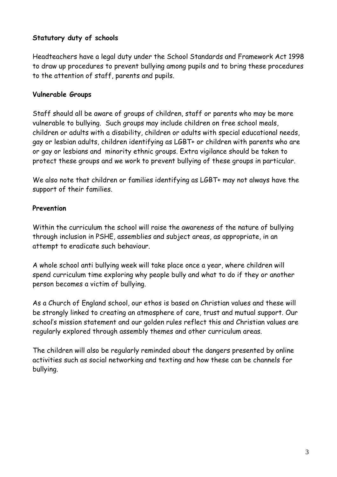## **Statutory duty of schools**

Headteachers have a legal duty under the School Standards and Framework Act 1998 to draw up procedures to prevent bullying among pupils and to bring these procedures to the attention of staff, parents and pupils.

#### **Vulnerable Groups**

Staff should all be aware of groups of children, staff or parents who may be more vulnerable to bullying. Such groups may include children on free school meals, children or adults with a disability, children or adults with special educational needs, gay or lesbian adults, children identifying as LGBT+ or children with parents who are or gay or lesbians and minority ethnic groups. Extra vigilance should be taken to protect these groups and we work to prevent bullying of these groups in particular.

We also note that children or families identifying as LGBT+ may not always have the support of their families.

#### **Prevention**

Within the curriculum the school will raise the awareness of the nature of bullying through inclusion in PSHE, assemblies and subject areas, as appropriate, in an attempt to eradicate such behaviour.

A whole school anti bullying week will take place once a year, where children will spend curriculum time exploring why people bully and what to do if they or another person becomes a victim of bullying.

As a Church of England school, our ethos is based on Christian values and these will be strongly linked to creating an atmosphere of care, trust and mutual support. Our school's mission statement and our golden rules reflect this and Christian values are regularly explored through assembly themes and other curriculum areas.

The children will also be regularly reminded about the dangers presented by online activities such as social networking and texting and how these can be channels for bullying.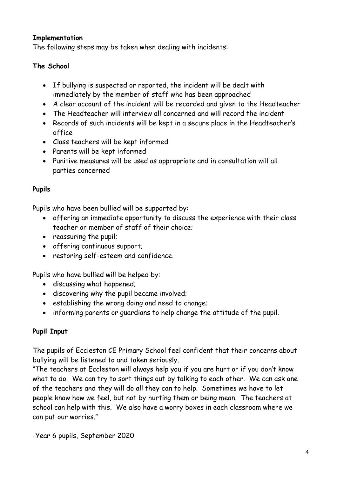#### **Implementation**

The following steps may be taken when dealing with incidents:

### **The School**

- If bullying is suspected or reported, the incident will be dealt with immediately by the member of staff who has been approached
- A clear account of the incident will be recorded and given to the Headteacher
- The Headteacher will interview all concerned and will record the incident
- Records of such incidents will be kept in a secure place in the Headteacher's office
- Class teachers will be kept informed
- Parents will be kept informed
- Punitive measures will be used as appropriate and in consultation will all parties concerned

#### **Pupils**

Pupils who have been bullied will be supported by:

- offering an immediate opportunity to discuss the experience with their class teacher or member of staff of their choice;
- reassuring the pupil;
- offering continuous support;
- restoring self-esteem and confidence.

Pupils who have bullied will be helped by:

- discussing what happened;
- discovering why the pupil became involved;
- establishing the wrong doing and need to change;
- informing parents or guardians to help change the attitude of the pupil.

## **Pupil Input**

The pupils of Eccleston CE Primary School feel confident that their concerns about bullying will be listened to and taken seriously.

"The teachers at Eccleston will always help you if you are hurt or if you don't know what to do. We can try to sort things out by talking to each other. We can ask one of the teachers and they will do all they can to help. Sometimes we have to let people know how we feel, but not by hurting them or being mean. The teachers at school can help with this. We also have a worry boxes in each classroom where we can put our worries."

-Year 6 pupils, September 2020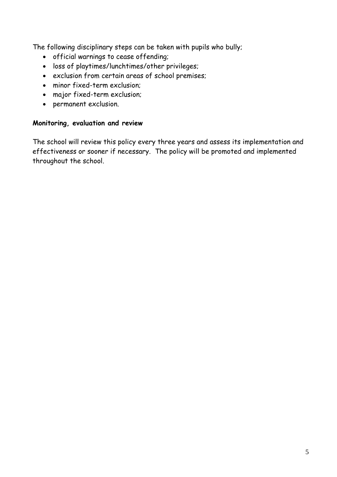The following disciplinary steps can be taken with pupils who bully;

- official warnings to cease offending;
- loss of playtimes/lunchtimes/other privileges;
- exclusion from certain areas of school premises;
- minor fixed-term exclusion;
- major fixed-term exclusion;
- permanent exclusion.

#### **Monitoring, evaluation and review**

The school will review this policy every three years and assess its implementation and effectiveness or sooner if necessary. The policy will be promoted and implemented throughout the school.